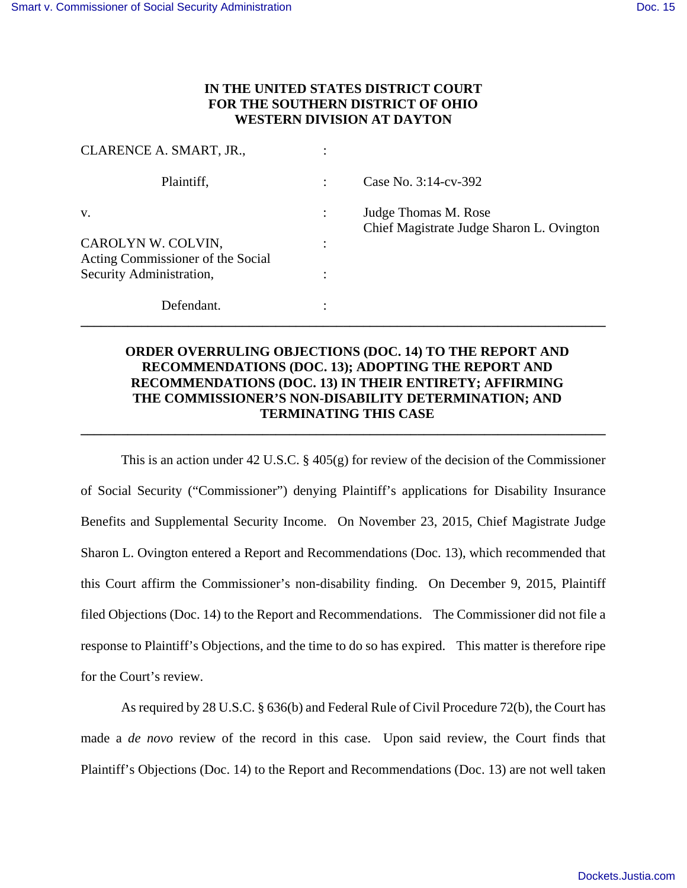## **IN THE UNITED STATES DISTRICT COURT FOR THE SOUTHERN DISTRICT OF OHIO WESTERN DIVISION AT DAYTON**

| CLARENCE A. SMART, JR.,                                 |                                                                   |
|---------------------------------------------------------|-------------------------------------------------------------------|
| Plaintiff,                                              | Case No. 3:14-cv-392                                              |
| V.                                                      | Judge Thomas M. Rose<br>Chief Magistrate Judge Sharon L. Ovington |
| CAROLYN W. COLVIN,<br>Acting Commissioner of the Social |                                                                   |
| Security Administration,                                |                                                                   |
| Defendant.                                              |                                                                   |

## **ORDER OVERRULING OBJECTIONS (DOC. 14) TO THE REPORT AND RECOMMENDATIONS (DOC. 13); ADOPTING THE REPORT AND RECOMMENDATIONS (DOC. 13) IN THEIR ENTIRETY; AFFIRMING THE COMMISSIONER'S NON-DISABILITY DETERMINATION; AND TERMINATING THIS CASE**

**\_\_\_\_\_\_\_\_\_\_\_\_\_\_\_\_\_\_\_\_\_\_\_\_\_\_\_\_\_\_\_\_\_\_\_\_\_\_\_\_\_\_\_\_\_\_\_\_\_\_\_\_\_\_\_\_\_\_\_\_\_\_\_\_\_\_\_\_\_\_\_\_\_\_\_\_\_\_** 

This is an action under 42 U.S.C.  $\S$  405(g) for review of the decision of the Commissioner of Social Security ("Commissioner") denying Plaintiff's applications for Disability Insurance Benefits and Supplemental Security Income. On November 23, 2015, Chief Magistrate Judge Sharon L. Ovington entered a Report and Recommendations (Doc. 13), which recommended that this Court affirm the Commissioner's non-disability finding. On December 9, 2015, Plaintiff filed Objections (Doc. 14) to the Report and Recommendations. The Commissioner did not file a response to Plaintiff's Objections, and the time to do so has expired. This matter is therefore ripe for the Court's review.

As required by 28 U.S.C. § 636(b) and Federal Rule of Civil Procedure 72(b), the Court has made a *de novo* review of the record in this case. Upon said review, the Court finds that Plaintiff's Objections (Doc. 14) to the Report and Recommendations (Doc. 13) are not well taken